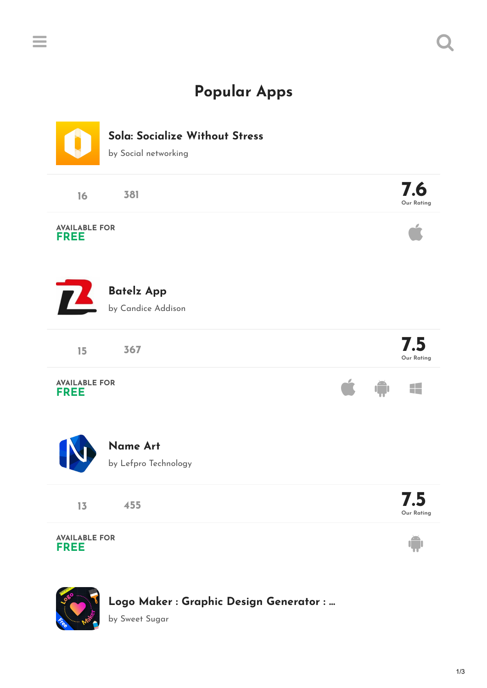## **Popular Apps**

 $\equiv$  and  $\sim$   $\sim$   $\sim$   $\sim$ 



**[Logo Maker](http://www.thepopularapps.com/apps/logo-maker-graphic-design-generator-logo-art) : Graphic Design Generator : …**

by Sweet Sugar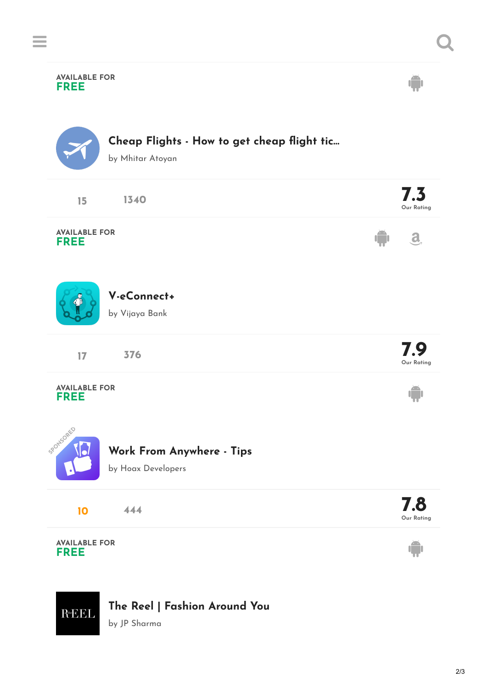

## **The Reel | [Fashion](http://www.thepopularapps.com/apps/the-reel-fashion-around-you) Around You**

by JP Sharma

 $R_{\text{th}}EEL$